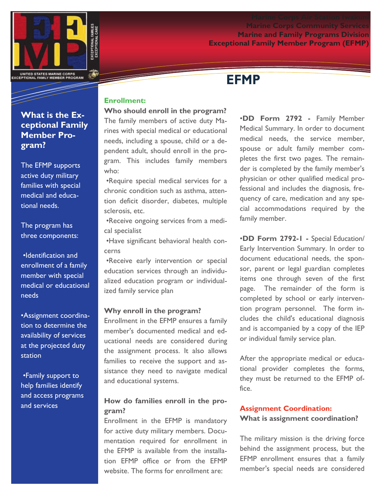



# **EFMP**

# **What is the Exceptional Family Member Program?**

The EFMP supports active duty military families with special medical and educational needs.

# The program has three components:

•Identification and enrollment of a family member with special medical or educational needs

•Assignment coordination to determine the availability of services at the projected duty station

•Family support to help families identify and access programs and services

# **Enrollment:**

**Who should enroll in the program?** The family members of active duty Ma-

rines with special medical or educational needs, including a spouse, child or a dependent adult, should enroll in the program. This includes family members who:

•Require special medical services for a chronic condition such as asthma, attention deficit disorder, diabetes, multiple sclerosis, etc.

•Receive ongoing services from a medical specialist

•Have significant behavioral health concerns

•Receive early intervention or special education services through an individualized education program or individualized family service plan

### **Why enroll in the program?**

Enrollment in the EFMP ensures a family member's documented medical and educational needs are considered during the assignment process. It also allows families to receive the support and assistance they need to navigate medical and educational systems.

# **How do families enroll in the program?**

Enrollment in the EFMP is mandatory for active duty military members. Documentation required for enrollment in the EFMP is available from the installation EFMP office or from the EFMP website. The forms for enrollment are:

•**DD Form 2792 -** Family Member Medical Summary. In order to document medical needs, the service member, spouse or adult family member completes the first two pages. The remainder is completed by the family member's physician or other qualified medical professional and includes the diagnosis, frequency of care, medication and any special accommodations required by the family member.

•**DD Form 2792-1 -** Special Education/ Early Intervention Summary. In order to document educational needs, the sponsor, parent or legal guardian completes items one through seven of the first page. The remainder of the form is completed by school or early intervention program personnel. The form includes the child's educational diagnosis and is accompanied by a copy of the IEP or individual family service plan.

After the appropriate medical or educational provider completes the forms, they must be returned to the EFMP office.

# **Assignment Coordination: What is assignment coordination?**

The military mission is the driving force behind the assignment process, but the EFMP enrollment ensures that a family member's special needs are considered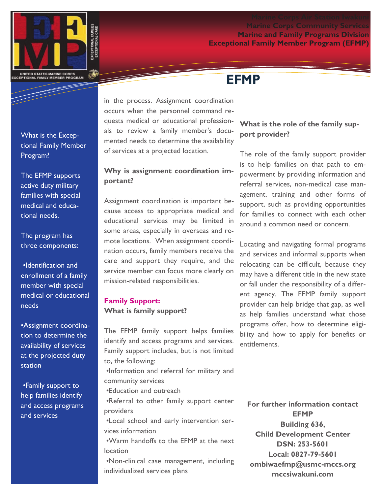# **Marine Corps Community Services Marine and Family Programs Division Exceptional Family Member Program (EFMP)**



What is the Exceptional Family Member Program?

The EFMP supports active duty military families with special medical and educational needs.

The program has three components:

•Identification and enrollment of a family member with special medical or educational needs

•Assignment coordination to determine the availability of services at the projected duty station

•Family support to help families identify and access programs and services

in the process. Assignment coordination occurs when the personnel command requests medical or educational professionals to review a family member's documented needs to determine the availability of services at a projected location.

# **Why is assignment coordination important?**

Assignment coordination is important because access to appropriate medical and educational services may be limited in some areas, especially in overseas and remote locations. When assignment coordination occurs, family members receive the care and support they require, and the service member can focus more clearly on mission-related responsibilities.

# **Family Support: What is family support?**

The EFMP family support helps families identify and access programs and services. Family support includes, but is not limited to, the following:

•Information and referral for military and community services

•Education and outreach

•Referral to other family support center providers

•Local school and early intervention services information

•Warm handoffs to the EFMP at the next location

•Non-clinical case management, including individualized services plans

# **EFMP**

# **What is the role of the family support provider?**

The role of the family support provider is to help families on that path to empowerment by providing information and referral services, non-medical case management, training and other forms of support, such as providing opportunities for families to connect with each other around a common need or concern.

Locating and navigating formal programs and services and informal supports when relocating can be difficult, because they may have a different title in the new state or fall under the responsibility of a different agency. The EFMP family support provider can help bridge that gap, as well as help families understand what those programs offer, how to determine eligibility and how to apply for benefits or entitlements.

**For further information contact EFMP Building 636, Child Development Center DSN: 253-5601 Local: 0827-79-5601 ombiwaefmp@usmc-mccs.org mccsiwakuni.com**